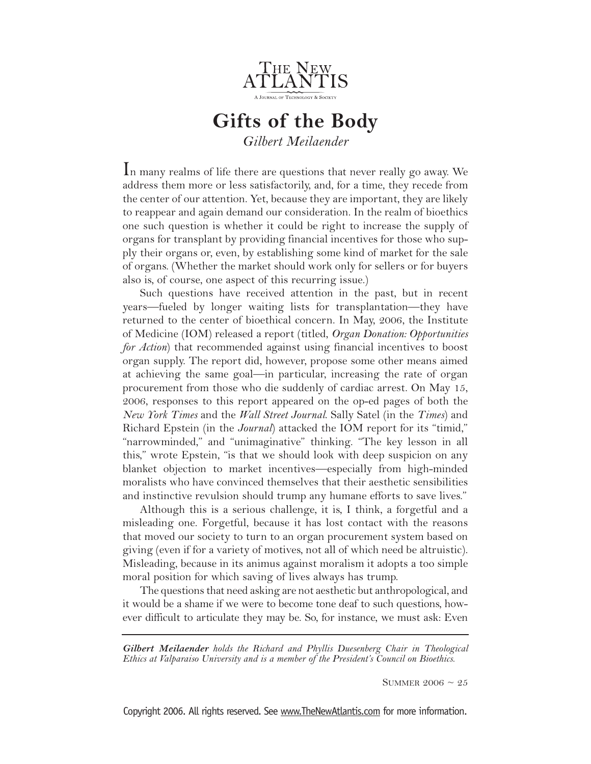

# **Gifts of the Body**

*Gilbert Meilaender*

In many realms of life there are questions that never really go away. We address them more or less satisfactorily, and, for a time, they recede from the center of our attention. Yet, because they are important, they are likely to reappear and again demand our consideration. In the realm of bioethics one such question is whether it could be right to increase the supply of organs for transplant by providing financial incentives for those who supply their organs or, even, by establishing some kind of market for the sale of organs. (Whether the market should work only for sellers or for buyers also is, of course, one aspect of this recurring issue.)

Such questions have received attention in the past, but in recent years—fueled by longer waiting lists for transplantation—they have returned to the center of bioethical concern. In May, 2006, the Institute of Medicine (IOM) released a report (titled, *Organ Donation: Opportunities for Action*) that recommended against using financial incentives to boost organ supply. The report did, however, propose some other means aimed at achieving the same goal—in particular, increasing the rate of organ procurement from those who die suddenly of cardiac arrest. On May 15, 2006, responses to this report appeared on the op-ed pages of both the *New York Times* and the *Wall Street Journal*. Sally Satel (in the *Times*) and Richard Epstein (in the *Journal*) attacked the IOM report for its "timid," "narrowminded," and "unimaginative" thinking. "The key lesson in all this," wrote Epstein, "is that we should look with deep suspicion on any blanket objection to market incentives—especially from high-minded moralists who have convinced themselves that their aesthetic sensibilities and instinctive revulsion should trump any humane efforts to save lives."

Although this is a serious challenge, it is, I think, a forgetful and a misleading one. Forgetful, because it has lost contact with the reasons that moved our society to turn to an organ procurement system based on giving (even if for a variety of motives, not all of which need be altruistic). Misleading, because in its animus against moralism it adopts a too simple moral position for which saving of lives always has trump.

The questions that need asking are not aesthetic but anthropological, and it would be a shame if we were to become tone deaf to such questions, however difficult to articulate they may be. So, for instance, we must ask: Even

SUMMER  $2006 \sim 25$ 

*Gilbert Meilaender holds the Richard and Phyllis Duesenberg Chair in Theological Ethics at Valparaiso University and is a member of the President's Council on Bioethics.*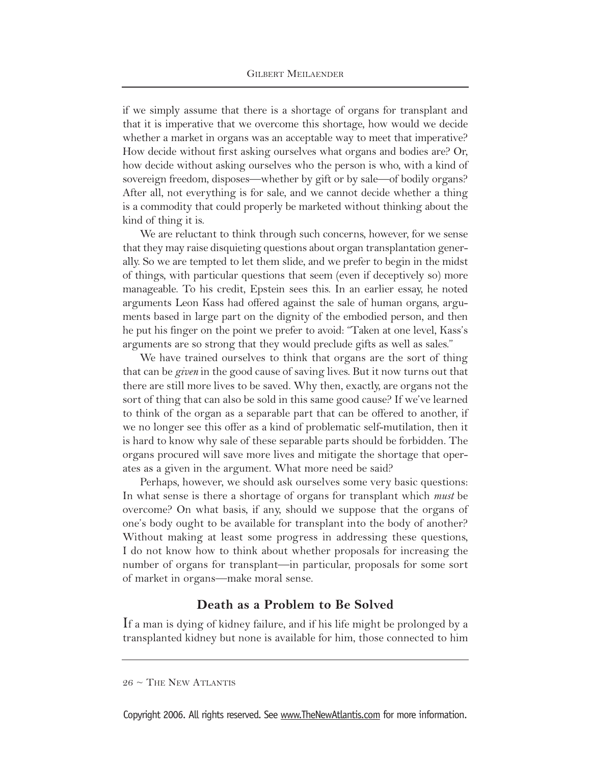if we simply assume that there is a shortage of organs for transplant and that it is imperative that we overcome this shortage, how would we decide whether a market in organs was an acceptable way to meet that imperative? How decide without first asking ourselves what organs and bodies are? Or, how decide without asking ourselves who the person is who, with a kind of sovereign freedom, disposes—whether by gift or by sale—of bodily organs? After all, not everything is for sale, and we cannot decide whether a thing is a commodity that could properly be marketed without thinking about the kind of thing it is.

We are reluctant to think through such concerns, however, for we sense that they may raise disquieting questions about organ transplantation generally. So we are tempted to let them slide, and we prefer to begin in the midst of things, with particular questions that seem (even if deceptively so) more manageable. To his credit, Epstein sees this. In an earlier essay, he noted arguments Leon Kass had offered against the sale of human organs, arguments based in large part on the dignity of the embodied person, and then he put his finger on the point we prefer to avoid: "Taken at one level, Kass's arguments are so strong that they would preclude gifts as well as sales."

We have trained ourselves to think that organs are the sort of thing that can be *given* in the good cause of saving lives. But it now turns out that there are still more lives to be saved. Why then, exactly, are organs not the sort of thing that can also be sold in this same good cause? If we've learned to think of the organ as a separable part that can be offered to another, if we no longer see this offer as a kind of problematic self-mutilation, then it is hard to know why sale of these separable parts should be forbidden. The organs procured will save more lives and mitigate the shortage that operates as a given in the argument. What more need be said?

Perhaps, however, we should ask ourselves some very basic questions: In what sense is there a shortage of organs for transplant which *must* be overcome? On what basis, if any, should we suppose that the organs of one's body ought to be available for transplant into the body of another? Without making at least some progress in addressing these questions, I do not know how to think about whether proposals for increasing the number of organs for transplant—in particular, proposals for some sort of market in organs—make moral sense.

### **Death as a Problem to Be Solved**

If a man is dying of kidney failure, and if his life might be prolonged by a transplanted kidney but none is available for him, those connected to him

 $26 \sim$  The New Atlantis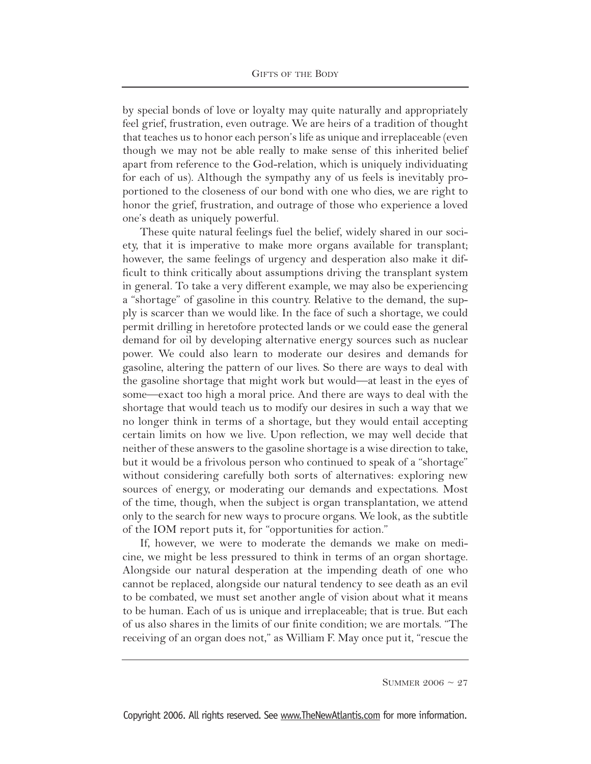by special bonds of love or loyalty may quite naturally and appropriately feel grief, frustration, even outrage. We are heirs of a tradition of thought that teaches us to honor each person's life as unique and irreplaceable (even though we may not be able really to make sense of this inherited belief apart from reference to the God-relation, which is uniquely individuating for each of us). Although the sympathy any of us feels is inevitably proportioned to the closeness of our bond with one who dies, we are right to honor the grief, frustration, and outrage of those who experience a loved one's death as uniquely powerful.

These quite natural feelings fuel the belief, widely shared in our society, that it is imperative to make more organs available for transplant; however, the same feelings of urgency and desperation also make it difficult to think critically about assumptions driving the transplant system in general. To take a very different example, we may also be experiencing a "shortage" of gasoline in this country. Relative to the demand, the supply is scarcer than we would like. In the face of such a shortage, we could permit drilling in heretofore protected lands or we could ease the general demand for oil by developing alternative energy sources such as nuclear power. We could also learn to moderate our desires and demands for gasoline, altering the pattern of our lives. So there are ways to deal with the gasoline shortage that might work but would—at least in the eyes of some—exact too high a moral price. And there are ways to deal with the shortage that would teach us to modify our desires in such a way that we no longer think in terms of a shortage, but they would entail accepting certain limits on how we live. Upon reflection, we may well decide that neither of these answers to the gasoline shortage is a wise direction to take, but it would be a frivolous person who continued to speak of a "shortage" without considering carefully both sorts of alternatives: exploring new sources of energy, or moderating our demands and expectations. Most of the time, though, when the subject is organ transplantation, we attend only to the search for new ways to procure organs. We look, as the subtitle of the IOM report puts it, for "opportunities for action."

If, however, we were to moderate the demands we make on medicine, we might be less pressured to think in terms of an organ shortage. Alongside our natural desperation at the impending death of one who cannot be replaced, alongside our natural tendency to see death as an evil to be combated, we must set another angle of vision about what it means to be human. Each of us is unique and irreplaceable; that is true. But each of us also shares in the limits of our finite condition; we are mortals. "The receiving of an organ does not," as William F. May once put it, "rescue the

SUMMER  $2006 \sim 27$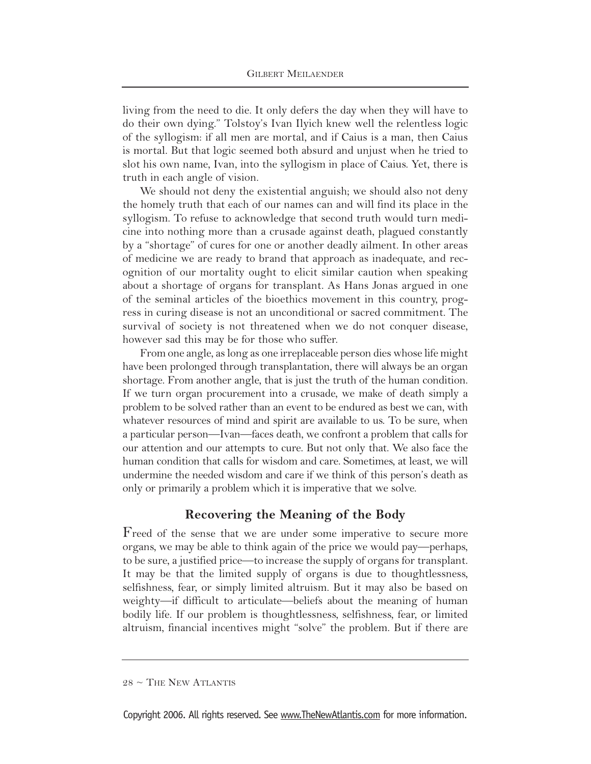living from the need to die. It only defers the day when they will have to do their own dying." Tolstoy's Ivan Ilyich knew well the relentless logic of the syllogism: if all men are mortal, and if Caius is a man, then Caius is mortal. But that logic seemed both absurd and unjust when he tried to slot his own name, Ivan, into the syllogism in place of Caius. Yet, there is truth in each angle of vision.

We should not deny the existential anguish; we should also not deny the homely truth that each of our names can and will find its place in the syllogism. To refuse to acknowledge that second truth would turn medicine into nothing more than a crusade against death, plagued constantly by a "shortage" of cures for one or another deadly ailment. In other areas of medicine we are ready to brand that approach as inadequate, and recognition of our mortality ought to elicit similar caution when speaking about a shortage of organs for transplant. As Hans Jonas argued in one of the seminal articles of the bioethics movement in this country, progress in curing disease is not an unconditional or sacred commitment. The survival of society is not threatened when we do not conquer disease, however sad this may be for those who suffer.

From one angle, as long as one irreplaceable person dies whose life might have been prolonged through transplantation, there will always be an organ shortage. From another angle, that is just the truth of the human condition. If we turn organ procurement into a crusade, we make of death simply a problem to be solved rather than an event to be endured as best we can, with whatever resources of mind and spirit are available to us. To be sure, when a particular person—Ivan—faces death, we confront a problem that calls for our attention and our attempts to cure. But not only that. We also face the human condition that calls for wisdom and care. Sometimes, at least, we will undermine the needed wisdom and care if we think of this person's death as only or primarily a problem which it is imperative that we solve.

### **Recovering the Meaning of the Body**

Freed of the sense that we are under some imperative to secure more organs, we may be able to think again of the price we would pay—perhaps, to be sure, a justified price—to increase the supply of organs for transplant. It may be that the limited supply of organs is due to thoughtlessness, selfishness, fear, or simply limited altruism. But it may also be based on weighty—if difficult to articulate—beliefs about the meaning of human bodily life. If our problem is thoughtlessness, selfishness, fear, or limited altruism, financial incentives might "solve" the problem. But if there are

 $28 \sim$  The New Atlantis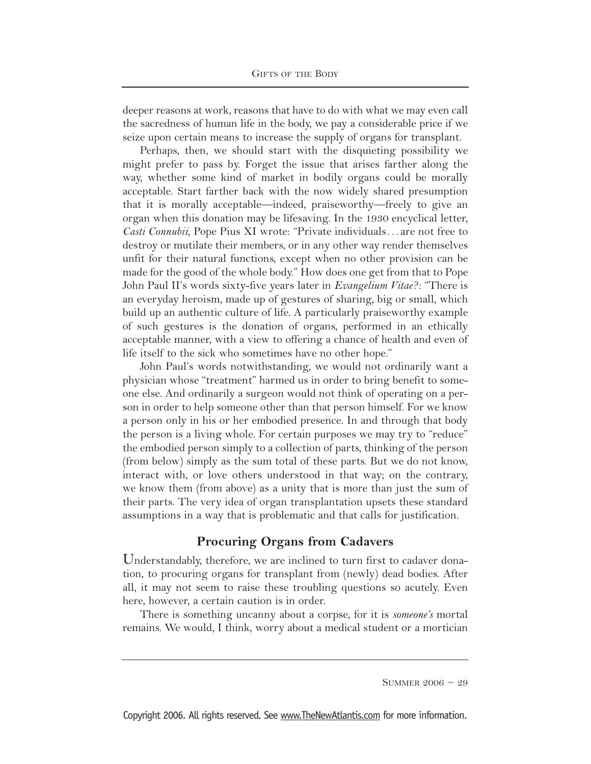deeper reasons at work, reasons that have to do with what we may even call the sacredness of human life in the body, we pay a considerable price if we seize upon certain means to increase the supply of organs for transplant.

Perhaps, then, we should start with the disquieting possibility we might prefer to pass by. Forget the issue that arises farther along the way, whether some kind of market in bodily organs could be morally acceptable. Start farther back with the now widely shared presumption that it is morally acceptable—indeed, praiseworthy—freely to give an organ when this donation may be lifesaving. In the 1930 encyclical letter, *Casti Connubii*, Pope Pius XI wrote: "Private individuals. . . are not free to destroy or mutilate their members, or in any other way render themselves unfit for their natural functions, except when no other provision can be made for the good of the whole body." How does one get from that to Pope John Paul II's words sixty-five years later in *Evangelium Vitae*?: "There is an everyday heroism, made up of gestures of sharing, big or small, which build up an authentic culture of life. A particularly praiseworthy example of such gestures is the donation of organs, performed in an ethically acceptable manner, with a view to offering a chance of health and even of life itself to the sick who sometimes have no other hope."

John Paul's words notwithstanding, we would not ordinarily want a physician whose "treatment" harmed us in order to bring benefit to someone else. And ordinarily a surgeon would not think of operating on a person in order to help someone other than that person himself. For we know a person only in his or her embodied presence. In and through that body the person is a living whole. For certain purposes we may try to "reduce" the embodied person simply to a collection of parts, thinking of the person (from below) simply as the sum total of these parts. But we do not know, interact with, or love others understood in that way; on the contrary, we know them (from above) as a unity that is more than just the sum of their parts. The very idea of organ transplantation upsets these standard assumptions in a way that is problematic and that calls for justification.

### **Procuring Organs from Cadavers**

Understandably, therefore, we are inclined to turn first to cadaver donation, to procuring organs for transplant from (newly) dead bodies. After all, it may not seem to raise these troubling questions so acutely. Even here, however, a certain caution is in order.

There is something uncanny about a corpse, for it is *someone's* mortal remains. We would, I think, worry about a medical student or a mortician

SUMMER  $2006 \sim 29$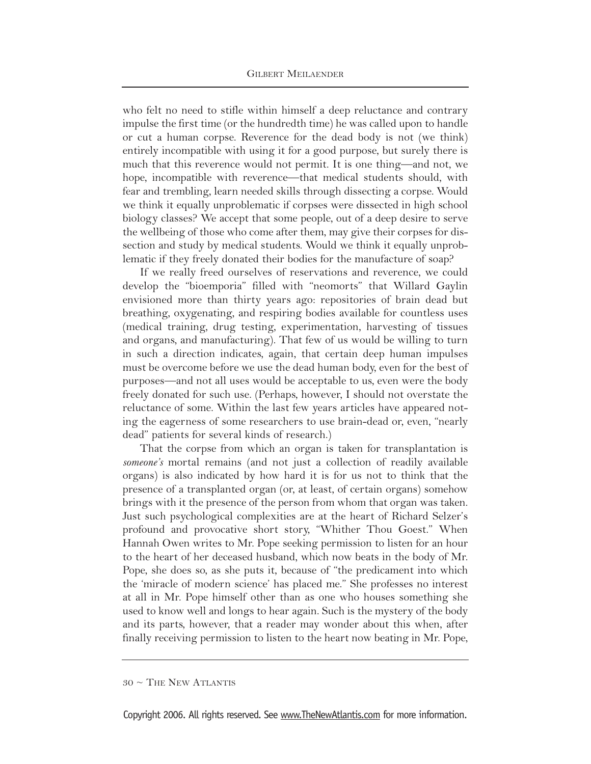who felt no need to stifle within himself a deep reluctance and contrary impulse the first time (or the hundredth time) he was called upon to handle or cut a human corpse. Reverence for the dead body is not (we think) entirely incompatible with using it for a good purpose, but surely there is much that this reverence would not permit. It is one thing—and not, we hope, incompatible with reverence—that medical students should, with fear and trembling, learn needed skills through dissecting a corpse. Would we think it equally unproblematic if corpses were dissected in high school biology classes? We accept that some people, out of a deep desire to serve the wellbeing of those who come after them, may give their corpses for dissection and study by medical students. Would we think it equally unproblematic if they freely donated their bodies for the manufacture of soap?

If we really freed ourselves of reservations and reverence, we could develop the "bioemporia" filled with "neomorts" that Willard Gaylin envisioned more than thirty years ago: repositories of brain dead but breathing, oxygenating, and respiring bodies available for countless uses (medical training, drug testing, experimentation, harvesting of tissues and organs, and manufacturing). That few of us would be willing to turn in such a direction indicates, again, that certain deep human impulses must be overcome before we use the dead human body, even for the best of purposes—and not all uses would be acceptable to us, even were the body freely donated for such use. (Perhaps, however, I should not overstate the reluctance of some. Within the last few years articles have appeared noting the eagerness of some researchers to use brain-dead or, even, "nearly dead" patients for several kinds of research.)

That the corpse from which an organ is taken for transplantation is *someone's* mortal remains (and not just a collection of readily available organs) is also indicated by how hard it is for us not to think that the presence of a transplanted organ (or, at least, of certain organs) somehow brings with it the presence of the person from whom that organ was taken. Just such psychological complexities are at the heart of Richard Selzer's profound and provocative short story, "Whither Thou Goest." When Hannah Owen writes to Mr. Pope seeking permission to listen for an hour to the heart of her deceased husband, which now beats in the body of Mr. Pope, she does so, as she puts it, because of "the predicament into which the 'miracle of modern science' has placed me." She professes no interest at all in Mr. Pope himself other than as one who houses something she used to know well and longs to hear again. Such is the mystery of the body and its parts, however, that a reader may wonder about this when, after finally receiving permission to listen to the heart now beating in Mr. Pope,

Copyright 2006. All rights reserved. See [www.TheNewAtlantis.com](http://www.thenewatlantis.com) for more information.

 $30 \sim$  The New Atlantis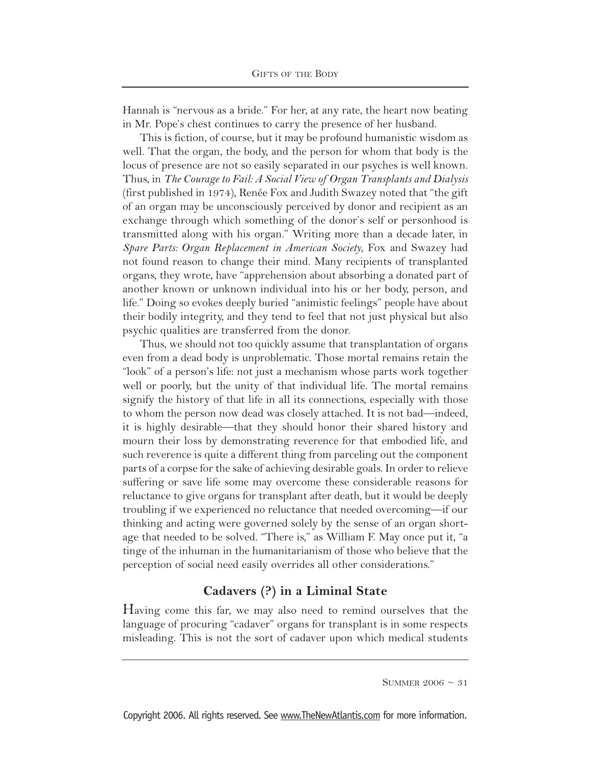Hannah is "nervous as a bride." For her, at any rate, the heart now beating in Mr. Pope's chest continues to carry the presence of her husband.

This is fiction, of course, but it may be profound humanistic wisdom as well. That the organ, the body, and the person for whom that body is the locus of presence are not so easily separated in our psyches is well known. Thus, in *The Courage to Fail: A Social View of Organ Transplants and Dialysis* (first published in 1974), Renée Fox and Judith Swazey noted that "the gift of an organ may be unconsciously perceived by donor and recipient as an exchange through which something of the donor's self or personhood is transmitted along with his organ." Writing more than a decade later, in *Spare Parts: Organ Replacement in American Society*, Fox and Swazey had not found reason to change their mind. Many recipients of transplanted organs, they wrote, have "apprehension about absorbing a donated part of another known or unknown individual into his or her body, person, and life." Doing so evokes deeply buried "animistic feelings" people have about their bodily integrity, and they tend to feel that not just physical but also psychic qualities are transferred from the donor.

Thus, we should not too quickly assume that transplantation of organs even from a dead body is unproblematic. Those mortal remains retain the "look" of a person's life: not just a mechanism whose parts work together well or poorly, but the unity of that individual life. The mortal remains signify the history of that life in all its connections, especially with those to whom the person now dead was closely attached. It is not bad—indeed, it is highly desirable—that they should honor their shared history and mourn their loss by demonstrating reverence for that embodied life, and such reverence is quite a different thing from parceling out the component parts of a corpse for the sake of achieving desirable goals. In order to relieve suffering or save life some may overcome these considerable reasons for reluctance to give organs for transplant after death, but it would be deeply troubling if we experienced no reluctance that needed overcoming—if our thinking and acting were governed solely by the sense of an organ shortage that needed to be solved. "There is," as William F. May once put it, "a tinge of the inhuman in the humanitarianism of those who believe that the perception of social need easily overrides all other considerations."

## **Cadavers (?) in a Liminal State**

Having come this far, we may also need to remind ourselves that the language of procuring "cadaver" organs for transplant is in some respects misleading. This is not the sort of cadaver upon which medical students

SUMMER  $2006 \sim 31$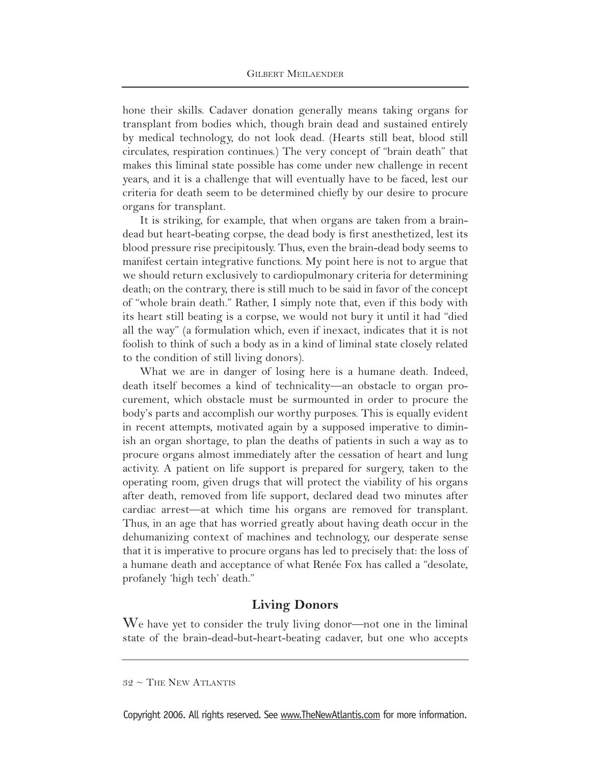hone their skills. Cadaver donation generally means taking organs for transplant from bodies which, though brain dead and sustained entirely by medical technology, do not look dead. (Hearts still beat, blood still circulates, respiration continues.) The very concept of "brain death" that makes this liminal state possible has come under new challenge in recent years, and it is a challenge that will eventually have to be faced, lest our criteria for death seem to be determined chiefly by our desire to procure organs for transplant.

It is striking, for example, that when organs are taken from a braindead but heart-beating corpse, the dead body is first anesthetized, lest its blood pressure rise precipitously. Thus, even the brain-dead body seems to manifest certain integrative functions. My point here is not to argue that we should return exclusively to cardiopulmonary criteria for determining death; on the contrary, there is still much to be said in favor of the concept of "whole brain death." Rather, I simply note that, even if this body with its heart still beating is a corpse, we would not bury it until it had "died all the way" (a formulation which, even if inexact, indicates that it is not foolish to think of such a body as in a kind of liminal state closely related to the condition of still living donors).

What we are in danger of losing here is a humane death. Indeed, death itself becomes a kind of technicality—an obstacle to organ procurement, which obstacle must be surmounted in order to procure the body's parts and accomplish our worthy purposes. This is equally evident in recent attempts, motivated again by a supposed imperative to diminish an organ shortage, to plan the deaths of patients in such a way as to procure organs almost immediately after the cessation of heart and lung activity. A patient on life support is prepared for surgery, taken to the operating room, given drugs that will protect the viability of his organs after death, removed from life support, declared dead two minutes after cardiac arrest—at which time his organs are removed for transplant. Thus, in an age that has worried greatly about having death occur in the dehumanizing context of machines and technology, our desperate sense that it is imperative to procure organs has led to precisely that: the loss of a humane death and acceptance of what Renée Fox has called a "desolate, profanely 'high tech' death."

### **Living Donors**

We have yet to consider the truly living donor—not one in the liminal state of the brain-dead-but-heart-beating cadaver, but one who accepts

Copyright 2006. All rights reserved. See [www.TheNewAtlantis.com](http://www.thenewatlantis.com) for more information.

 $32 \sim$  The New Atlantis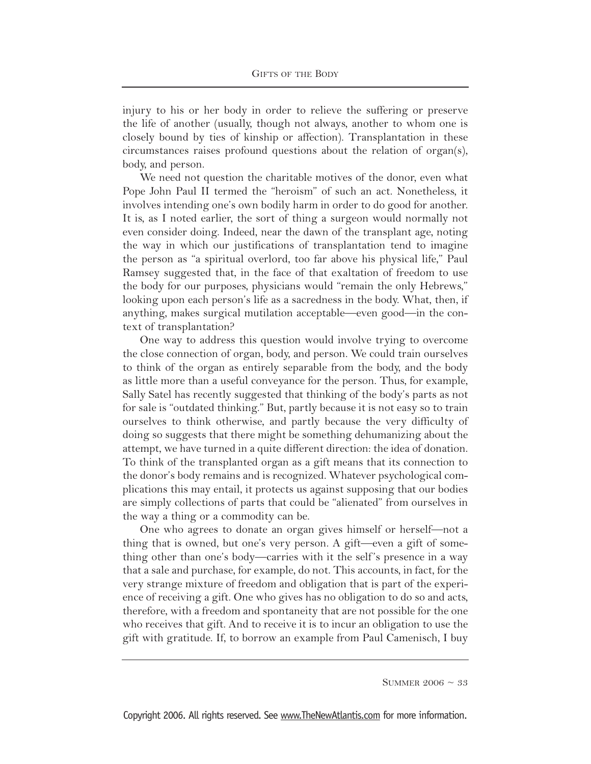injury to his or her body in order to relieve the suffering or preserve the life of another (usually, though not always, another to whom one is closely bound by ties of kinship or affection). Transplantation in these circumstances raises profound questions about the relation of organ(s), body, and person.

We need not question the charitable motives of the donor, even what Pope John Paul II termed the "heroism" of such an act. Nonetheless, it involves intending one's own bodily harm in order to do good for another. It is, as I noted earlier, the sort of thing a surgeon would normally not even consider doing. Indeed, near the dawn of the transplant age, noting the way in which our justifications of transplantation tend to imagine the person as "a spiritual overlord, too far above his physical life," Paul Ramsey suggested that, in the face of that exaltation of freedom to use the body for our purposes, physicians would "remain the only Hebrews," looking upon each person's life as a sacredness in the body. What, then, if anything, makes surgical mutilation acceptable—even good—in the context of transplantation?

One way to address this question would involve trying to overcome the close connection of organ, body, and person. We could train ourselves to think of the organ as entirely separable from the body, and the body as little more than a useful conveyance for the person. Thus, for example, Sally Satel has recently suggested that thinking of the body's parts as not for sale is "outdated thinking." But, partly because it is not easy so to train ourselves to think otherwise, and partly because the very difficulty of doing so suggests that there might be something dehumanizing about the attempt, we have turned in a quite different direction: the idea of donation. To think of the transplanted organ as a gift means that its connection to the donor's body remains and is recognized. Whatever psychological complications this may entail, it protects us against supposing that our bodies are simply collections of parts that could be "alienated" from ourselves in the way a thing or a commodity can be.

One who agrees to donate an organ gives himself or herself—not a thing that is owned, but one's very person. A gift—even a gift of something other than one's body—carries with it the self 's presence in a way that a sale and purchase, for example, do not. This accounts, in fact, for the very strange mixture of freedom and obligation that is part of the experience of receiving a gift. One who gives has no obligation to do so and acts, therefore, with a freedom and spontaneity that are not possible for the one who receives that gift. And to receive it is to incur an obligation to use the gift with gratitude. If, to borrow an example from Paul Camenisch, I buy

SUMMER  $2006 \sim 33$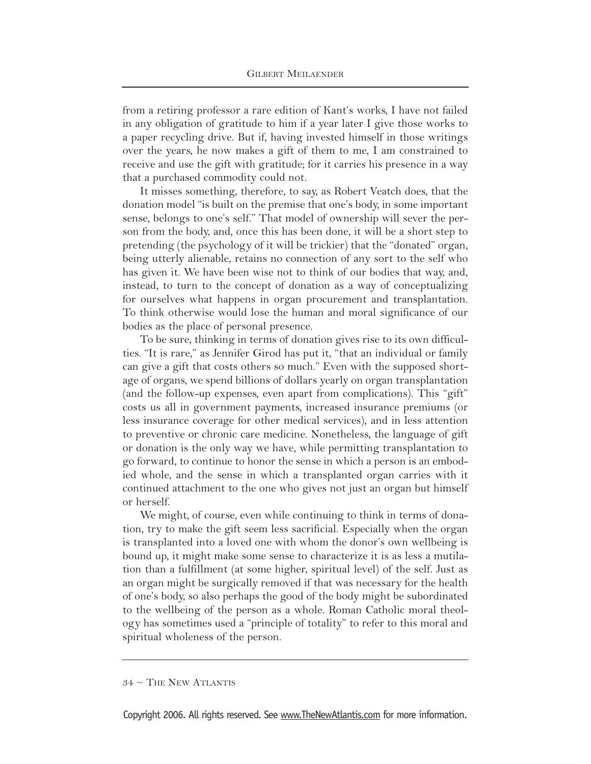from a retiring professor a rare edition of Kant's works, I have not failed in any obligation of gratitude to him if a year later I give those works to a paper recycling drive. But if, having invested himself in those writings over the years, he now makes a gift of them to me, I am constrained to receive and use the gift with gratitude; for it carries his presence in a way that a purchased commodity could not.

It misses something, therefore, to say, as Robert Veatch does, that the donation model "is built on the premise that one's body, in some important sense, belongs to one's self." That model of ownership will sever the person from the body, and, once this has been done, it will be a short step to pretending (the psychology of it will be trickier) that the "donated" organ, being utterly alienable, retains no connection of any sort to the self who has given it. We have been wise not to think of our bodies that way, and, instead, to turn to the concept of donation as a way of conceptualizing for ourselves what happens in organ procurement and transplantation. To think otherwise would lose the human and moral significance of our bodies as the place of personal presence.

To be sure, thinking in terms of donation gives rise to its own difficulties. "It is rare," as Jennifer Girod has put it, "that an individual or family can give a gift that costs others so much." Even with the supposed shortage of organs, we spend billions of dollars yearly on organ transplantation (and the follow-up expenses, even apart from complications). This "gift" costs us all in government payments, increased insurance premiums (or less insurance coverage for other medical services), and in less attention to preventive or chronic care medicine. Nonetheless, the language of gift or donation is the only way we have, while permitting transplantation to go forward, to continue to honor the sense in which a person is an embodied whole, and the sense in which a transplanted organ carries with it continued attachment to the one who gives not just an organ but himself or herself.

We might, of course, even while continuing to think in terms of donation, try to make the gift seem less sacrificial. Especially when the organ is transplanted into a loved one with whom the donor's own wellbeing is bound up, it might make some sense to characterize it is as less a mutilation than a fulfillment (at some higher, spiritual level) of the self. Just as an organ might be surgically removed if that was necessary for the health of one's body, so also perhaps the good of the body might be subordinated to the wellbeing of the person as a whole. Roman Catholic moral theology has sometimes used a "principle of totality" to refer to this moral and spiritual wholeness of the person.

 $34 \sim$  The New Atlantis